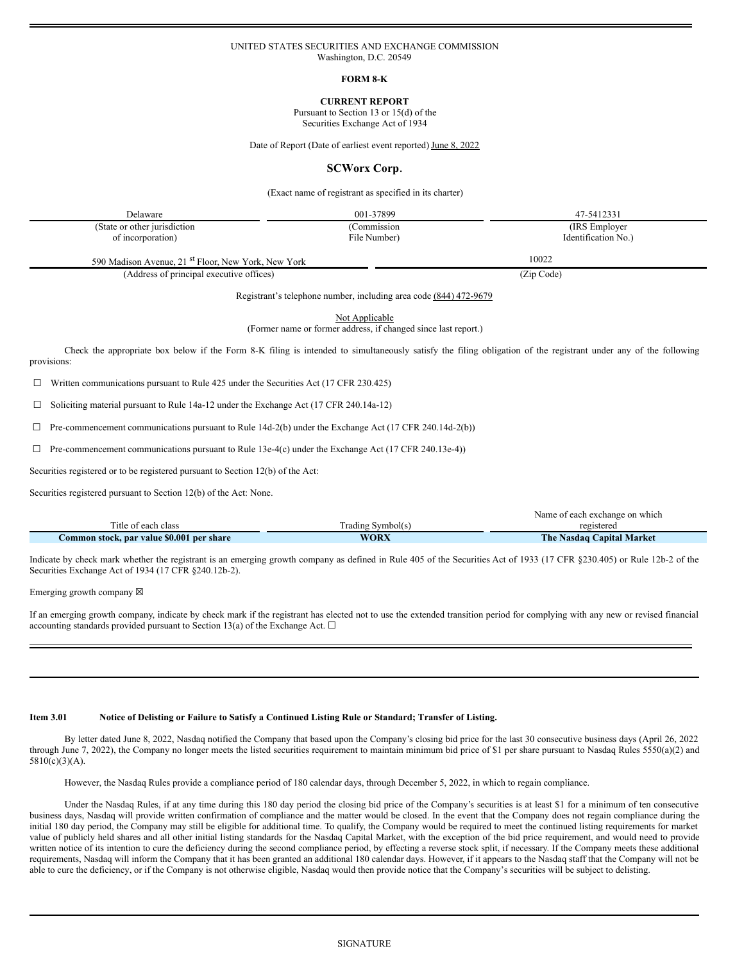## UNITED STATES SECURITIES AND EXCHANGE COMMISSION Washington, D.C. 20549

## **FORM 8-K**

**CURRENT REPORT**

Pursuant to Section 13 or 15(d) of the

Securities Exchange Act of 1934

Date of Report (Date of earliest event reported) June 8, 2022

## **SCWorx Corp.**

(Exact name of registrant as specified in its charter)

| Delaware                                                       | 001-37899    | 47-5412331          |
|----------------------------------------------------------------|--------------|---------------------|
| (State or other jurisdiction)                                  | (Commission  | (IRS Employer)      |
| of incorporation)                                              | File Number) | Identification No.) |
| 590 Madison Avenue, 21 <sup>st</sup> Floor, New York, New York |              | 10022               |

(Address of principal executive offices) (Zip Code)

Registrant's telephone number, including area code (844) 472-9679

Not Applicable

(Former name or former address, if changed since last report.)

Check the appropriate box below if the Form 8-K filing is intended to simultaneously satisfy the filing obligation of the registrant under any of the following provisions:

☐ Written communications pursuant to Rule 425 under the Securities Act (17 CFR 230.425)

☐ Soliciting material pursuant to Rule 14a-12 under the Exchange Act (17 CFR 240.14a-12)

 $\Box$  Pre-commencement communications pursuant to Rule 14d-2(b) under the Exchange Act (17 CFR 240.14d-2(b))

☐ Pre-commencement communications pursuant to Rule 13e-4(c) under the Exchange Act (17 CFR 240.13e-4))

Securities registered or to be registered pursuant to Section 12(b) of the Act:

Securities registered pursuant to Section 12(b) of the Act: None.

|                                           |                   | Name of each exchange on which |
|-------------------------------------------|-------------------|--------------------------------|
| Title of each class                       | Trading Symbol(s) | registered                     |
| Common stock, par value \$0.001 per share | <b>WORX</b>       | The Nasdaq Capital Market      |

Indicate by check mark whether the registrant is an emerging growth company as defined in Rule 405 of the Securities Act of 1933 (17 CFR §230.405) or Rule 12b-2 of the Securities Exchange Act of 1934 (17 CFR §240.12b-2).

Emerging growth company  $\boxtimes$ 

If an emerging growth company, indicate by check mark if the registrant has elected not to use the extended transition period for complying with any new or revised financial accounting standards provided pursuant to Section 13(a) of the Exchange Act.  $\square$ 

## Item 3.01 Notice of Delisting or Failure to Satisfy a Continued Listing Rule or Standard; Transfer of Listing.

By letter dated June 8, 2022, Nasdaq notified the Company that based upon the Company's closing bid price for the last 30 consecutive business days (April 26, 2022 through June 7, 2022), the Company no longer meets the listed securities requirement to maintain minimum bid price of \$1 per share pursuant to Nasdaq Rules 5550(a)(2) and 5810(c)(3)(A).

However, the Nasdaq Rules provide a compliance period of 180 calendar days, through December 5, 2022, in which to regain compliance.

Under the Nasdaq Rules, if at any time during this 180 day period the closing bid price of the Company's securities is at least \$1 for a minimum of ten consecutive business days, Nasdaq will provide written confirmation of compliance and the matter would be closed. In the event that the Company does not regain compliance during the initial 180 day period, the Company may still be eligible for additional time. To qualify, the Company would be required to meet the continued listing requirements for market value of publicly held shares and all other initial listing standards for the Nasdaq Capital Market, with the exception of the bid price requirement, and would need to provide written notice of its intention to cure the deficiency during the second compliance period, by effecting a reverse stock split, if necessary. If the Company meets these additional requirements, Nasdaq will inform the Company that it has been granted an additional 180 calendar days. However, if it appears to the Nasdaq staff that the Company will not be able to cure the deficiency, or if the Company is not otherwise eligible, Nasdaq would then provide notice that the Company's securities will be subject to delisting.